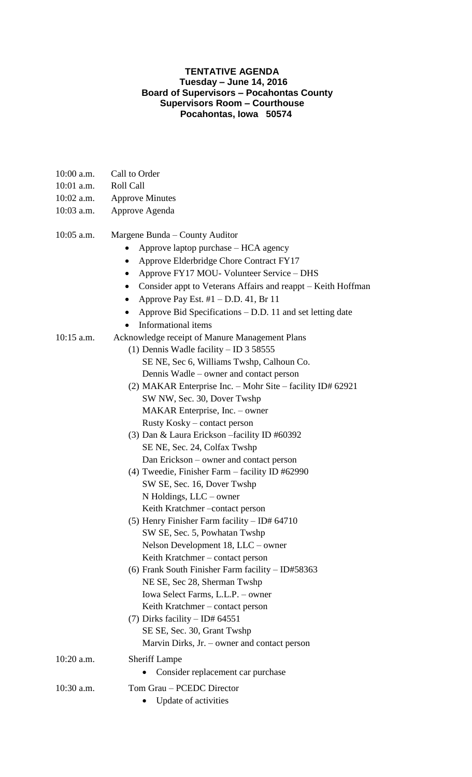### **TENTATIVE AGENDA Tuesday – June 14, 2016 Board of Supervisors – Pocahontas County Supervisors Room – Courthouse Pocahontas, Iowa 50574**

- 10:00 a.m. Call to Order
- 10:01 a.m. Roll Call
- 10:02 a.m. Approve Minutes
- 10:03 a.m. Approve Agenda

# 10:05 a.m. Margene Bunda – County Auditor

- Approve laptop purchase HCA agency
- Approve Elderbridge Chore Contract FY17
- Approve FY17 MOU- Volunteer Service DHS
- Consider appt to Veterans Affairs and reappt Keith Hoffman
- Approve Pay Est.  $#1 D.D. 41$ , Br 11
- Approve Bid Specifications D.D. 11 and set letting date
- Informational items
- 10:15 a.m. Acknowledge receipt of Manure Management Plans
	- (1) Dennis Wadle facility ID 3 58555 SE NE, Sec 6, Williams Twshp, Calhoun Co. Dennis Wadle – owner and contact person (2) MAKAR Enterprise Inc. – Mohr Site – facility ID# 62921 SW NW, Sec. 30, Dover Twshp
		- MAKAR Enterprise, Inc. owner Rusty Kosky – contact person (3) Dan & Laura Erickson –facility ID #60392
		- SE NE, Sec. 24, Colfax Twshp Dan Erickson – owner and contact person
		- (4) Tweedie, Finisher Farm facility ID #62990 SW SE, Sec. 16, Dover Twshp N Holdings, LLC – owner Keith Kratchmer –contact person
		- (5) Henry Finisher Farm facility ID# 64710 SW SE, Sec. 5, Powhatan Twshp Nelson Development 18, LLC – owner Keith Kratchmer – contact person
		- (6) Frank South Finisher Farm facility ID#58363 NE SE, Sec 28, Sherman Twshp Iowa Select Farms, L.L.P. – owner Keith Kratchmer – contact person
		- (7) Dirks facility ID#  $64551$ SE SE, Sec. 30, Grant Twshp Marvin Dirks, Jr. – owner and contact person
- 10:20 a.m. Sheriff Lampe
	- Consider replacement car purchase
- 10:30 a.m. Tom Grau PCEDC Director
	- Update of activities